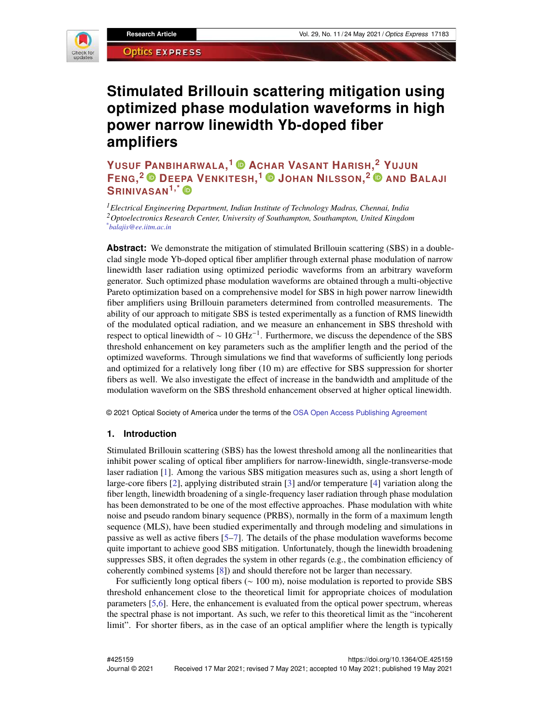

# **Stimulated Brillouin scattering mitigation using optimized phase modulation waveforms in high power narrow linewidth Yb-doped fiber amplifiers**

**YUSUF PANBIHARWALA, <sup>1</sup> ACHAR VASANT HARISH, <sup>2</sup> YUJUN FENG, <sup>2</sup> DEE[PA](https://orcid.org/0000-0001-9996-0535) VENKITESH, <sup>1</sup> JOHAN NILSSON, <sup>2</sup> AND BALAJI SRINIVASAN1,\***

*<sup>1</sup>Electrical Engineering Department, Indian Institute of Technology Madras, Chennai, India <sup>2</sup>Optoelectronics Research Center, University of Southampton, Southampton, United Kingdom \*balajis@ee.iitm.ac.in*

**Abstract:** We demonstrate the mitigation of stimulated Brillouin scattering (SBS) in a doubleclad single mode Yb-doped optical fiber amplifier through external phase modulation of narrow linewidth laser radiation using optimized periodic waveforms from an arbitrary waveform generator. Such optimized phase modulation waveforms are obtained through a multi-objective Pareto optimization based on a comprehensive model for SBS in high power narrow linewidth fiber amplifiers using Brillouin parameters determined from controlled measurements. The ability of our approach to mitigate SBS is tested experimentally as a function of RMS linewidth of the modulated optical radiation, and we measure an enhancement in SBS threshold with respect to optical linewidth of  $\sim 10 \text{ GHz}^{-1}$ . Furthermore, we discuss the dependence of the SBS threshold enhancement on key parameters such as the amplifier length and the period of the optimized waveforms. Through simulations we find that waveforms of sufficiently long periods and optimized for a relatively long fiber  $(10 \text{ m})$  are effective for SBS suppression for shorter fibers as well. We also investigate the effect of increase in the bandwidth and amplitude of the modulation waveform on the SBS threshold enhancement observed at higher optical linewidth.

© 2021 Optical Society of America under the terms of the [OSA Open Access Publishing Agreement](https://doi.org/10.1364/OA_License_v1#VOR-OA)

#### **1. Introduction**

Stimulated Brillouin scattering (SBS) has the lowest threshold among all the nonlinearities that inhibit power scaling of optical fiber amplifiers for narrow-linewidth, single-transverse-mode laser radiation [\[1\]](#page-16-0). Among the various SBS mitigation measures such as, using a short length of large-core fibers [\[2\]](#page-16-1), applying distributed strain [\[3\]](#page-16-2) and/or temperature [\[4\]](#page-16-3) variation along the fiber length, linewidth broadening of a single-frequency laser radiation through phase modulation has been demonstrated to be one of the most effective approaches. Phase modulation with white noise and pseudo random binary sequence (PRBS), normally in the form of a maximum length sequence (MLS), have been studied experimentally and through modeling and simulations in passive as well as active fibers  $[5-7]$ . The details of the phase modulation waveforms become quite important to achieve good SBS mitigation. Unfortunately, though the linewidth broadening suppresses SBS, it often degrades the system in other regards (e.g., the combination efficiency of coherently combined systems [\[8\]](#page-16-6)) and should therefore not be larger than necessary.

For sufficiently long optical fibers ( $\sim 100$  m), noise modulation is reported to provide SBS threshold enhancement close to the theoretical limit for appropriate choices of modulation parameters [\[5](#page-16-4)[,6\]](#page-16-7). Here, the enhancement is evaluated from the optical power spectrum, whereas the spectral phase is not important. As such, we refer to this theoretical limit as the "incoherent" limit". For shorter fibers, as in the case of an optical amplifier where the length is typically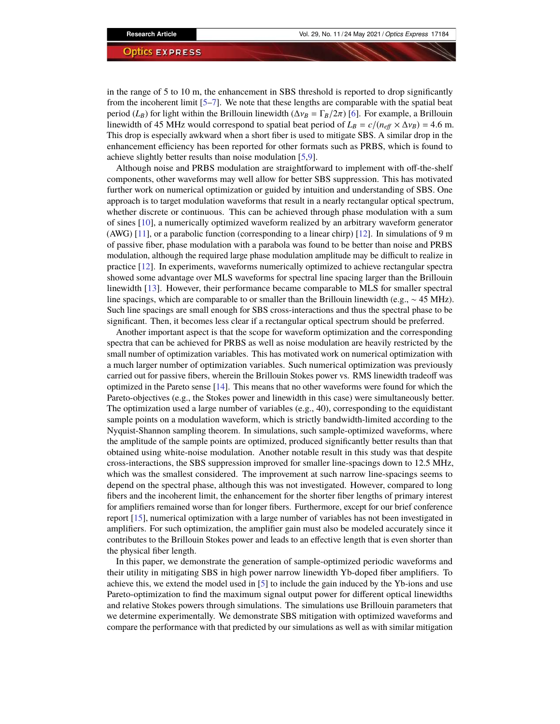in the range of 5 to 10 m, the enhancement in SBS threshold is reported to drop significantly from the incoherent limit  $[5-7]$  $[5-7]$ . We note that these lengths are comparable with the spatial beat period ( $L_B$ ) for light within the Brillouin linewidth ( $\Delta v_B = \Gamma_B/2\pi$ ) [\[6\]](#page-16-7). For example, a Brillouin linewidth of 45 MHz would correspond to spatial beat period of  $L_B = c/(n_{\text{eff}} \times \Delta v_B) = 4.6 \text{ m}$ . This drop is especially awkward when a short fiber is used to mitigate SBS. A similar drop in the enhancement efficiency has been reported for other formats such as PRBS, which is found to achieve slightly better results than noise modulation [\[5](#page-16-4)[,9\]](#page-16-8).

Although noise and PRBS modulation are straightforward to implement with off-the-shelf components, other waveforms may well allow for better SBS suppression. This has motivated further work on numerical optimization or guided by intuition and understanding of SBS. One approach is to target modulation waveforms that result in a nearly rectangular optical spectrum, whether discrete or continuous. This can be achieved through phase modulation with a sum of sines [\[10\]](#page-16-9), a numerically optimized waveform realized by an arbitrary waveform generator (AWG) [\[11\]](#page-16-10), or a parabolic function (corresponding to a linear chirp) [\[12\]](#page-17-0). In simulations of 9 m of passive fiber, phase modulation with a parabola was found to be better than noise and PRBS modulation, although the required large phase modulation amplitude may be difficult to realize in practice [\[12\]](#page-17-0). In experiments, waveforms numerically optimized to achieve rectangular spectra showed some advantage over MLS waveforms for spectral line spacing larger than the Brillouin linewidth [\[13\]](#page-17-1). However, their performance became comparable to MLS for smaller spectral line spacings, which are comparable to or smaller than the Brillouin linewidth (e.g., ∼ 45 MHz). Such line spacings are small enough for SBS cross-interactions and thus the spectral phase to be significant. Then, it becomes less clear if a rectangular optical spectrum should be preferred.

Another important aspect is that the scope for waveform optimization and the corresponding spectra that can be achieved for PRBS as well as noise modulation are heavily restricted by the small number of optimization variables. This has motivated work on numerical optimization with a much larger number of optimization variables. Such numerical optimization was previously carried out for passive fibers, wherein the Brillouin Stokes power vs. RMS linewidth tradeoff was optimized in the Pareto sense [\[14\]](#page-17-2). This means that no other waveforms were found for which the Pareto-objectives (e.g., the Stokes power and linewidth in this case) were simultaneously better. The optimization used a large number of variables (e.g., 40), corresponding to the equidistant sample points on a modulation waveform, which is strictly bandwidth-limited according to the Nyquist-Shannon sampling theorem. In simulations, such sample-optimized waveforms, where the amplitude of the sample points are optimized, produced significantly better results than that obtained using white-noise modulation. Another notable result in this study was that despite cross-interactions, the SBS suppression improved for smaller line-spacings down to 12.5 MHz, which was the smallest considered. The improvement at such narrow line-spacings seems to depend on the spectral phase, although this was not investigated. However, compared to long fibers and the incoherent limit, the enhancement for the shorter fiber lengths of primary interest for amplifiers remained worse than for longer fibers. Furthermore, except for our brief conference report [\[15\]](#page-17-3), numerical optimization with a large number of variables has not been investigated in amplifiers. For such optimization, the amplifier gain must also be modeled accurately since it contributes to the Brillouin Stokes power and leads to an effective length that is even shorter than the physical fiber length.

In this paper, we demonstrate the generation of sample-optimized periodic waveforms and their utility in mitigating SBS in high power narrow linewidth Yb-doped fiber amplifiers. To achieve this, we extend the model used in [\[5\]](#page-16-4) to include the gain induced by the Yb-ions and use Pareto-optimization to find the maximum signal output power for different optical linewidths and relative Stokes powers through simulations. The simulations use Brillouin parameters that we determine experimentally. We demonstrate SBS mitigation with optimized waveforms and compare the performance with that predicted by our simulations as well as with similar mitigation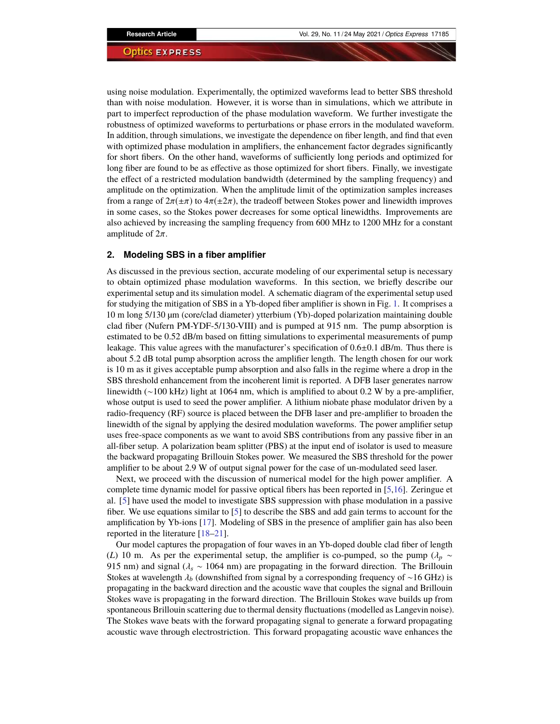using noise modulation. Experimentally, the optimized waveforms lead to better SBS threshold than with noise modulation. However, it is worse than in simulations, which we attribute in part to imperfect reproduction of the phase modulation waveform. We further investigate the robustness of optimized waveforms to perturbations or phase errors in the modulated waveform. In addition, through simulations, we investigate the dependence on fiber length, and find that even with optimized phase modulation in amplifiers, the enhancement factor degrades significantly for short fibers. On the other hand, waveforms of sufficiently long periods and optimized for long fiber are found to be as effective as those optimized for short fibers. Finally, we investigate the effect of a restricted modulation bandwidth (determined by the sampling frequency) and amplitude on the optimization. When the amplitude limit of the optimization samples increases from a range of  $2\pi(\pm\pi)$  to  $4\pi(\pm 2\pi)$ , the tradeoff between Stokes power and linewidth improves in some cases, so the Stokes power decreases for some optical linewidths. Improvements are also achieved by increasing the sampling frequency from 600 MHz to 1200 MHz for a constant amplitude of  $2\pi$ .

# **2. Modeling SBS in a fiber amplifier**

As discussed in the previous section, accurate modeling of our experimental setup is necessary to obtain optimized phase modulation waveforms. In this section, we briefly describe our experimental setup and its simulation model. A schematic diagram of the experimental setup used for studying the mitigation of SBS in a Yb-doped fiber amplifier is shown in Fig. [1.](#page-3-0) It comprises a 10 m long 5/130 µm (core/clad diameter) ytterbium (Yb)-doped polarization maintaining double clad fiber (Nufern PM-YDF-5/130-VIII) and is pumped at 915 nm. The pump absorption is estimated to be 0.52 dB/m based on fitting simulations to experimental measurements of pump leakage. This value agrees with the manufacturer's specification of  $0.6\pm0.1$  dB/m. Thus there is about 5.2 dB total pump absorption across the amplifier length. The length chosen for our work is 10 m as it gives acceptable pump absorption and also falls in the regime where a drop in the SBS threshold enhancement from the incoherent limit is reported. A DFB laser generates narrow linewidth ( $∼100$  kHz) light at 1064 nm, which is amplified to about 0.2 W by a pre-amplifier, whose output is used to seed the power amplifier. A lithium niobate phase modulator driven by a radio-frequency (RF) source is placed between the DFB laser and pre-amplifier to broaden the linewidth of the signal by applying the desired modulation waveforms. The power amplifier setup uses free-space components as we want to avoid SBS contributions from any passive fiber in an all-fiber setup. A polarization beam splitter (PBS) at the input end of isolator is used to measure the backward propagating Brillouin Stokes power. We measured the SBS threshold for the power amplifier to be about 2.9 W of output signal power for the case of un-modulated seed laser.

Next, we proceed with the discussion of numerical model for the high power amplifier. A complete time dynamic model for passive optical fibers has been reported in  $[5,16]$  $[5,16]$ . Zeringue et al. [\[5\]](#page-16-4) have used the model to investigate SBS suppression with phase modulation in a passive fiber. We use equations similar to  $[5]$  to describe the SBS and add gain terms to account for the amplification by Yb-ions [\[17\]](#page-17-5). Modeling of SBS in the presence of amplifier gain has also been reported in the literature  $[18–21]$  $[18–21]$ .

Our model captures the propagation of four waves in an Yb-doped double clad fiber of length (*L*) 10 m. As per the experimental setup, the amplifier is co-pumped, so the pump ( $\lambda_p \sim$ 915 nm) and signal (λ*<sup>s</sup>* ∼ 1064 nm) are propagating in the forward direction. The Brillouin Stokes at wavelength λ*<sup>b</sup>* (downshifted from signal by a corresponding frequency of ∼16 GHz) is propagating in the backward direction and the acoustic wave that couples the signal and Brillouin Stokes wave is propagating in the forward direction. The Brillouin Stokes wave builds up from spontaneous Brillouin scattering due to thermal density fluctuations (modelled as Langevin noise). The Stokes wave beats with the forward propagating signal to generate a forward propagating acoustic wave through electrostriction. This forward propagating acoustic wave enhances the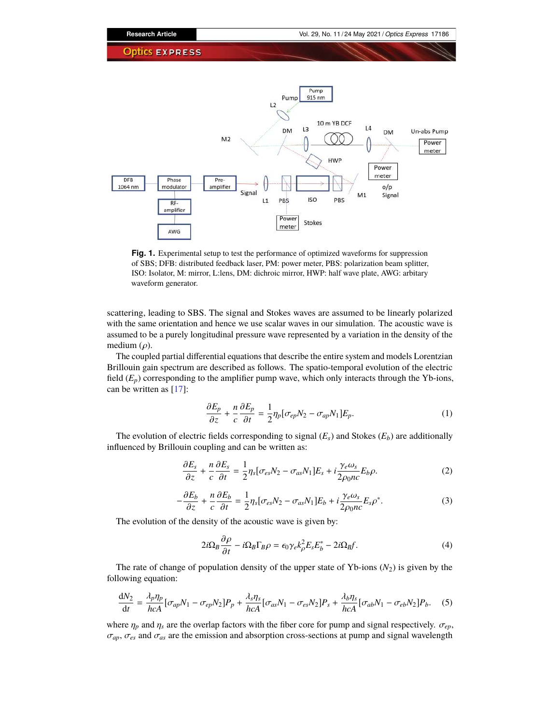

<span id="page-3-0"></span>**Fig. 1.** Experimental setup to test the performance of optimized waveforms for suppression of SBS; DFB: distributed feedback laser, PM: power meter, PBS: polarization beam splitter, ISO: Isolator, M: mirror, L:lens, DM: dichroic mirror, HWP: half wave plate, AWG: arbitary waveform generator.

scattering, leading to SBS. The signal and Stokes waves are assumed to be linearly polarized with the same orientation and hence we use scalar waves in our simulation. The acoustic wave is assumed to be a purely longitudinal pressure wave represented by a variation in the density of the medium  $(\rho)$ .

The coupled partial differential equations that describe the entire system and models Lorentzian Brillouin gain spectrum are described as follows. The spatio-temporal evolution of the electric field  $(E_p)$  corresponding to the amplifier pump wave, which only interacts through the Yb-ions, can be written as [\[17\]](#page-17-5):

$$
\frac{\partial E_p}{\partial z} + \frac{n}{c} \frac{\partial E_p}{\partial t} = \frac{1}{2} \eta_p [\sigma_{ep} N_2 - \sigma_{ap} N_1] E_p.
$$
 (1)

The evolution of electric fields corresponding to signal  $(E_s)$  and Stokes  $(E_b)$  are additionally influenced by Brillouin coupling and can be written as:

$$
\frac{\partial E_s}{\partial z} + \frac{n}{c} \frac{\partial E_s}{\partial t} = \frac{1}{2} \eta_s [\sigma_{es} N_2 - \sigma_{as} N_1] E_s + i \frac{\gamma_e \omega_s}{2 \rho_0 n c} E_b \rho. \tag{2}
$$

$$
-\frac{\partial E_b}{\partial z} + \frac{n}{c} \frac{\partial E_b}{\partial t} = \frac{1}{2} \eta_s [\sigma_{es} N_2 - \sigma_{as} N_1] E_b + i \frac{\gamma_e \omega_s}{2 \rho_0 n c} E_s \rho^*.
$$
 (3)

The evolution of the density of the acoustic wave is given by:

$$
2i\Omega_B \frac{\partial \rho}{\partial t} - i\Omega_B \Gamma_B \rho = \epsilon_0 \gamma_e k_\rho^2 E_s E_b^* - 2i\Omega_B f. \tag{4}
$$

The rate of change of population density of the upper state of Yb-ions  $(N_2)$  is given by the following equation:

$$
\frac{dN_2}{dt} = \frac{\lambda_p \eta_p}{hcA} [\sigma_{ap} N_1 - \sigma_{ep} N_2] P_p + \frac{\lambda_s \eta_s}{hcA} [\sigma_{as} N_1 - \sigma_{es} N_2] P_s + \frac{\lambda_b \eta_s}{hcA} [\sigma_{ab} N_1 - \sigma_{eb} N_2] P_b.
$$
 (5)

where  $\eta_p$  and  $\eta_s$  are the overlap factors with the fiber core for pump and signal respectively.  $\sigma_{ep}$ ,  $\sigma_{ap}$ ,  $\sigma_{es}$  and  $\sigma_{as}$  are the emission and absorption cross-sections at pump and signal wavelength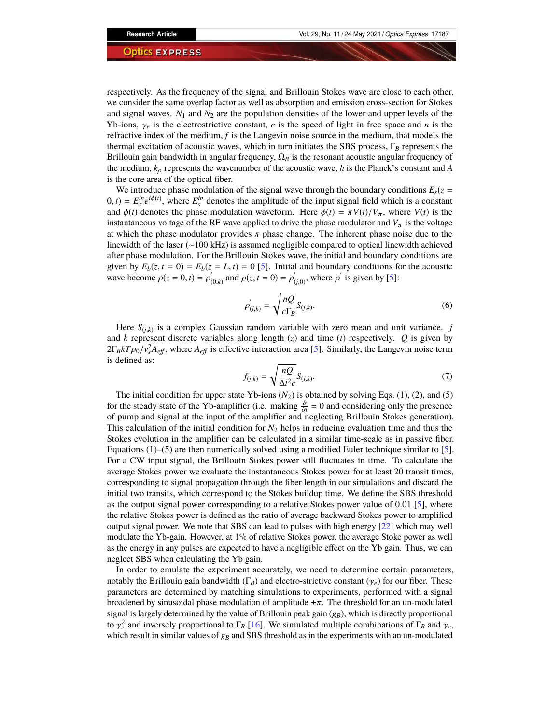respectively. As the frequency of the signal and Brillouin Stokes wave are close to each other, we consider the same overlap factor as well as absorption and emission cross-section for Stokes and signal waves.  $N_1$  and  $N_2$  are the population densities of the lower and upper levels of the Yb-ions,  $\gamma_e$  is the electrostrictive constant, *c* is the speed of light in free space and *n* is the refractive index of the medium, *f* is the Langevin noise source in the medium, that models the thermal excitation of acoustic waves, which in turn initiates the SBS process,  $\Gamma_B$  represents the Brillouin gain bandwidth in angular frequency,  $\Omega_B$  is the resonant acoustic angular frequency of the medium,  $k_{\rho}$  represents the wavenumber of the acoustic wave, *h* is the Planck's constant and *A* is the core area of the optical fiber.

We introduce phase modulation of the signal wave through the boundary conditions  $E_s(z)$  $(0, t) = E_s^{in} e^{i\phi(t)}$ , where  $E_s^{in}$  denotes the amplitude of the input signal field which is a constant and  $\phi(t)$  denotes the phase modulation waveform. Here  $\phi(t) = \pi V(t)/V_\pi$ , where  $V(t)$  is the instantaneous voltage of the RF wave applied to drive the phase modulator and  $V_\pi$  is the voltage at which the phase modulator provides  $\pi$  phase change. The inherent phase noise due to the linewidth of the laser (∼100 kHz) is assumed negligible compared to optical linewidth achieved after phase modulation. For the Brillouin Stokes wave, the initial and boundary conditions are given by  $E_b(z, t = 0) = E_b(z = L, t) = 0$  [\[5\]](#page-16-4). Initial and boundary conditions for the acoustic wave become  $\rho(z = 0, t) = \rho'_{(0,k)}$  and  $\rho(z, t = 0) = \rho'_{(j,0)}$ , where  $\rho'$  is given by [\[5\]](#page-16-4):

$$
\rho'_{(j,k)} = \sqrt{\frac{nQ}{c\Gamma_B}} S_{(j,k)}.
$$
\n(6)

Here  $S_{(j,k)}$  is a complex Gaussian random variable with zero mean and unit variance. *j* and *k* represent discrete variables along length (*z*) and time (*t*) respectively.  $Q$  is given by  $2\Gamma_B kT\rho_0/v_s^2 A_{\text{eff}}$ , where  $A_{\text{eff}}$  is effective interaction area [\[5\]](#page-16-4). Similarly, the Langevin noise term is defined as:

$$
f_{(j,k)} = \sqrt{\frac{nQ}{\Delta t^2 c}} S_{(j,k)}.
$$
\n(7)

The initial condition for upper state Yb-ions  $(N_2)$  is obtained by solving Eqs. (1), (2), and (5) for the steady state of the Yb-amplifier (i.e. making  $\frac{\partial}{\partial t} = 0$  and considering only the presence of pump and signal at the input of the amplifier and neglecting Brillouin Stokes generation). This calculation of the initial condition for  $N_2$  helps in reducing evaluation time and thus the Stokes evolution in the amplifier can be calculated in a similar time-scale as in passive fiber. Equations  $(1)$ –(5) are then numerically solved using a modified Euler technique similar to [\[5\]](#page-16-4). For a CW input signal, the Brillouin Stokes power still fluctuates in time. To calculate the average Stokes power we evaluate the instantaneous Stokes power for at least 20 transit times, corresponding to signal propagation through the fiber length in our simulations and discard the initial two transits, which correspond to the Stokes buildup time. We define the SBS threshold as the output signal power corresponding to a relative Stokes power value of 0.01 [\[5\]](#page-16-4), where the relative Stokes power is defined as the ratio of average backward Stokes power to amplified output signal power. We note that SBS can lead to pulses with high energy [\[22\]](#page-17-8) which may well modulate the Yb-gain. However, at 1% of relative Stokes power, the average Stoke power as well as the energy in any pulses are expected to have a negligible effect on the Yb gain. Thus, we can neglect SBS when calculating the Yb gain.

In order to emulate the experiment accurately, we need to determine certain parameters, notably the Brillouin gain bandwidth ( $\Gamma_B$ ) and electro-strictive constant ( $\gamma_e$ ) for our fiber. These parameters are determined by matching simulations to experiments, performed with a signal broadened by sinusoidal phase modulation of amplitude  $\pm \pi$ . The threshold for an un-modulated signal is largely determined by the value of Brillouin peak gain (*gB*), which is directly proportional to  $\gamma_e^2$  and inversely proportional to  $\Gamma_B$  [\[16\]](#page-17-4). We simulated multiple combinations of  $\Gamma_B$  and  $\gamma_e$ , which result in similar values of  $g_B$  and SBS threshold as in the experiments with an un-modulated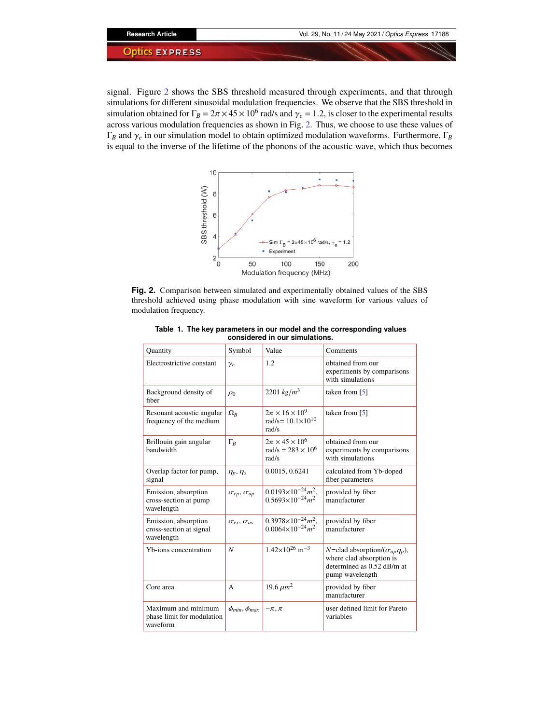signal. Figure [2](#page-5-0) shows the SBS threshold measured through experiments, and that through simulations for different sinusoidal modulation frequencies. We observe that the SBS threshold in simulation obtained for  $\Gamma_B = 2\pi \times 45 \times 10^6$  rad/s and  $\gamma_e = 1.2$ , is closer to the experimental results across various modulation frequencies as shown in Fig. [2.](#page-5-0) Thus, we choose to use these values of Γ*<sup>B</sup>* and γ*<sup>e</sup>* in our simulation model to obtain optimized modulation waveforms. Furthermore, Γ*<sup>B</sup>* is equal to the inverse of the lifetime of the phonons of the acoustic wave, which thus becomes



<span id="page-5-0"></span>**Fig. 2.** Comparison between simulated and experimentally obtained values of the SBS threshold achieved using phase modulation with sine waveform for various values of modulation frequency.

| Quantity                                                      | Symbol                     | Value                                                                     | Comments                                                                                                                          |
|---------------------------------------------------------------|----------------------------|---------------------------------------------------------------------------|-----------------------------------------------------------------------------------------------------------------------------------|
| Electrostrictive constant                                     | $\gamma_e$                 | 1.2                                                                       | obtained from our<br>experiments by comparisons<br>with simulations                                                               |
| Background density of<br>fiber                                | $\rho_0$                   | 2201 $kg/m^3$                                                             | taken from $[5]$                                                                                                                  |
| Resonant acoustic angular<br>frequency of the medium          | $\Omega_R$                 | $2\pi \times 16 \times 10^9$<br>rad/s= $10.1 \times 10^{10}$<br>rad/s     | taken from $[5]$                                                                                                                  |
| Brillouin gain angular<br>bandwidth                           | $\Gamma_B$                 | $2\pi \times 45 \times 10^6$<br>$\text{rad/s} = 283 \times 10^6$<br>rad/s | obtained from our<br>experiments by comparisons<br>with simulations                                                               |
| Overlap factor for pump,<br>signal                            | $\eta_p, \eta_s$           | 0.0015, 0.6241                                                            | calculated from Yb-doped<br>fiber parameters                                                                                      |
| Emission, absorption<br>cross-section at pump<br>wavelength   | $\sigma_{ep}, \sigma_{ap}$ | $0.0193\times10^{-24}m^2$ ,<br>$0.5693\times10^{-24} m^2$                 | provided by fiber<br>manufacturer                                                                                                 |
| Emission, absorption<br>cross-section at signal<br>wavelength | $\sigma_{es}, \sigma_{as}$ | $0.3978 \times 10^{-24} m^2$ ,<br>$0.0064\times10^{-24}m^2$               | provided by fiber<br>manufacturer                                                                                                 |
| Yb-ions concentration                                         | N                          | $1.42\times10^{26}$ m <sup>-3</sup>                                       | <i>N</i> =clad absorption/ $(\sigma_{ap}\eta_p)$ ,<br>where clad absorption is<br>determined as $0.52$ dB/m at<br>pump wavelength |
| Core area                                                     | A                          | 19.6 $\mu m^2$                                                            | provided by fiber<br>manufacturer                                                                                                 |
| Maximum and minimum<br>phase limit for modulation<br>waveform | $\phi_{min}, \phi_{max}$   | $-\pi, \pi$                                                               | user defined limit for Pareto<br>variables                                                                                        |

<span id="page-5-1"></span>**Table 1. The key parameters in our model and the corresponding values considered in our simulations.**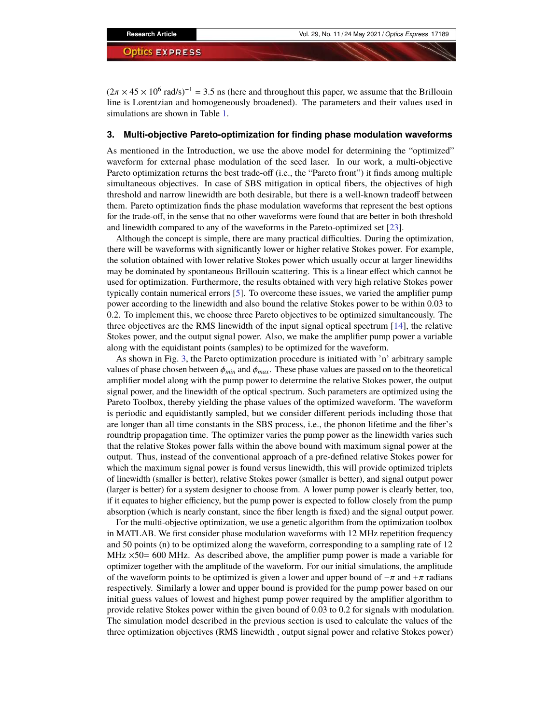$(2\pi \times 45 \times 10^6 \text{ rad/s})^{-1} = 3.5 \text{ ns}$  (here and throughout this paper, we assume that the Brillouin line is Lorentzian and homogeneously broadened). The parameters and their values used in simulations are shown in Table [1.](#page-5-1)

# <span id="page-6-0"></span>**3. Multi-objective Pareto-optimization for finding phase modulation waveforms**

As mentioned in the Introduction, we use the above model for determining the "optimized" waveform for external phase modulation of the seed laser. In our work, a multi-objective Pareto optimization returns the best trade-off (i.e., the "Pareto front") it finds among multiple simultaneous objectives. In case of SBS mitigation in optical fibers, the objectives of high threshold and narrow linewidth are both desirable, but there is a well-known tradeoff between them. Pareto optimization finds the phase modulation waveforms that represent the best options for the trade-off, in the sense that no other waveforms were found that are better in both threshold and linewidth compared to any of the waveforms in the Pareto-optimized set [\[23\]](#page-17-9).

Although the concept is simple, there are many practical difficulties. During the optimization, there will be waveforms with significantly lower or higher relative Stokes power. For example, the solution obtained with lower relative Stokes power which usually occur at larger linewidths may be dominated by spontaneous Brillouin scattering. This is a linear effect which cannot be used for optimization. Furthermore, the results obtained with very high relative Stokes power typically contain numerical errors  $[5]$ . To overcome these issues, we varied the amplifier pump power according to the linewidth and also bound the relative Stokes power to be within 0.03 to 0.2. To implement this, we choose three Pareto objectives to be optimized simultaneously. The three objectives are the RMS linewidth of the input signal optical spectrum [\[14\]](#page-17-2), the relative Stokes power, and the output signal power. Also, we make the amplifier pump power a variable along with the equidistant points (samples) to be optimized for the waveform.

As shown in Fig. [3,](#page-7-0) the Pareto optimization procedure is initiated with  $n$  arbitrary sample values of phase chosen between  $\phi_{min}$  and  $\phi_{max}$ . These phase values are passed on to the theoretical amplifier model along with the pump power to determine the relative Stokes power, the output signal power, and the linewidth of the optical spectrum. Such parameters are optimized using the Pareto Toolbox, thereby yielding the phase values of the optimized waveform. The waveform is periodic and equidistantly sampled, but we consider different periods including those that are longer than all time constants in the SBS process, i.e., the phonon lifetime and the fiber's roundtrip propagation time. The optimizer varies the pump power as the linewidth varies such that the relative Stokes power falls within the above bound with maximum signal power at the output. Thus, instead of the conventional approach of a pre-defined relative Stokes power for which the maximum signal power is found versus linewidth, this will provide optimized triplets of linewidth (smaller is better), relative Stokes power (smaller is better), and signal output power (larger is better) for a system designer to choose from. A lower pump power is clearly better, too, if it equates to higher efficiency, but the pump power is expected to follow closely from the pump absorption (which is nearly constant, since the fiber length is fixed) and the signal output power.

For the multi-objective optimization, we use a genetic algorithm from the optimization toolbox in MATLAB. We first consider phase modulation waveforms with 12 MHz repetition frequency and 50 points (n) to be optimized along the waveform, corresponding to a sampling rate of 12 MHz  $\times$ 50= 600 MHz. As described above, the amplifier pump power is made a variable for optimizer together with the amplitude of the waveform. For our initial simulations, the amplitude of the waveform points to be optimized is given a lower and upper bound of  $-\pi$  and + $\pi$  radians respectively. Similarly a lower and upper bound is provided for the pump power based on our initial guess values of lowest and highest pump power required by the amplifier algorithm to provide relative Stokes power within the given bound of 0.03 to 0.2 for signals with modulation. The simulation model described in the previous section is used to calculate the values of the three optimization objectives (RMS linewidth , output signal power and relative Stokes power)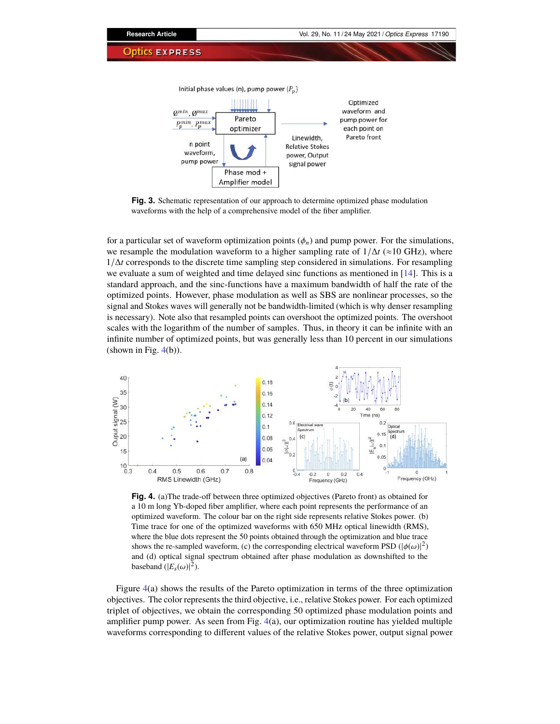

<span id="page-7-0"></span>**Fig. 3.** Schematic representation of our approach to determine optimized phase modulation waveforms with the help of a comprehensive model of the fiber amplifier.

for a particular set of waveform optimization points  $(\phi_n)$  and pump power. For the simulations, we resample the modulation waveform to a higher sampling rate of  $1/\Delta t$  (≈10 GHz), where <sup>1</sup>/∆*<sup>t</sup>* corresponds to the discrete time sampling step considered in simulations. For resampling we evaluate a sum of weighted and time delayed sinc functions as mentioned in [\[14\]](#page-17-2). This is a standard approach, and the sinc-functions have a maximum bandwidth of half the rate of the optimized points. However, phase modulation as well as SBS are nonlinear processes, so the signal and Stokes waves will generally not be bandwidth-limited (which is why denser resampling is necessary). Note also that resampled points can overshoot the optimized points. The overshoot scales with the logarithm of the number of samples. Thus, in theory it can be infinite with an infinite number of optimized points, but was generally less than 10 percent in our simulations (shown in Fig.  $4(b)$  $4(b)$ ).



<span id="page-7-1"></span>**Fig. 4.** (a)The trade-off between three optimized objectives (Pareto front) as obtained for a 10 m long Yb-doped fiber amplifier, where each point represents the performance of an optimized waveform. The colour bar on the right side represents relative Stokes power. (b) Time trace for one of the optimized waveforms with 650 MHz optical linewidth (RMS), where the blue dots represent the 50 points obtained through the optimization and blue trace shows the re-sampled waveform, (c) the corresponding electrical waveform PSD ( $|\phi(\omega)|^2$ ) and (d) optical signal spectrum obtained after phase modulation as downshifted to the baseband  $(|E_s(\omega)|^2)$ .

Figure [4\(](#page-7-1)a) shows the results of the Pareto optimization in terms of the three optimization objectives. The color represents the third objective, i.e., relative Stokes power. For each optimized triplet of objectives, we obtain the corresponding 50 optimized phase modulation points and amplifier pump power. As seen from Fig.  $4(a)$  $4(a)$ , our optimization routine has yielded multiple waveforms corresponding to different values of the relative Stokes power, output signal power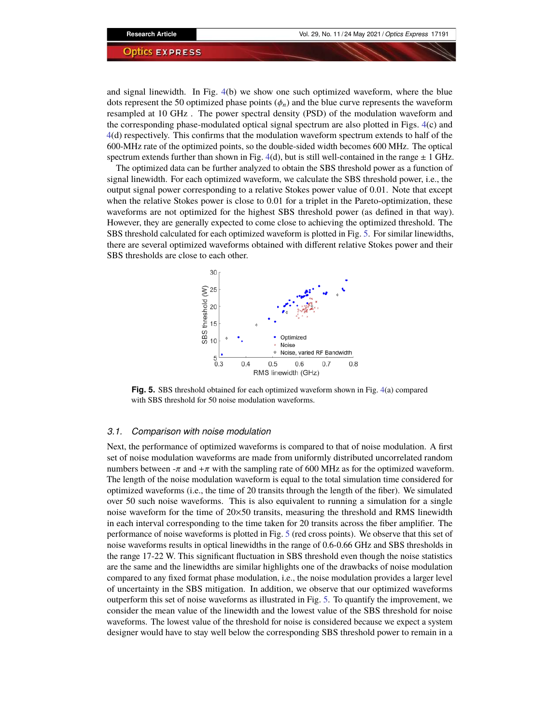and signal linewidth. In Fig. [4\(](#page-7-1)b) we show one such optimized waveform, where the blue dots represent the 50 optimized phase points  $(\phi_n)$  and the blue curve represents the waveform resampled at 10 GHz . The power spectral density (PSD) of the modulation waveform and the corresponding phase-modulated optical signal spectrum are also plotted in Figs. [4\(](#page-7-1)c) and [4\(](#page-7-1)d) respectively. This confirms that the modulation waveform spectrum extends to half of the 600-MHz rate of the optimized points, so the double-sided width becomes 600 MHz. The optical spectrum extends further than shown in Fig. [4\(](#page-7-1)d), but is still well-contained in the range  $\pm$  1 GHz.

The optimized data can be further analyzed to obtain the SBS threshold power as a function of signal linewidth. For each optimized waveform, we calculate the SBS threshold power, i.e., the output signal power corresponding to a relative Stokes power value of 0.01. Note that except when the relative Stokes power is close to 0.01 for a triplet in the Pareto-optimization, these waveforms are not optimized for the highest SBS threshold power (as defined in that way). However, they are generally expected to come close to achieving the optimized threshold. The SBS threshold calculated for each optimized waveform is plotted in Fig. [5.](#page-8-0) For similar linewidths, there are several optimized waveforms obtained with different relative Stokes power and their SBS thresholds are close to each other.



<span id="page-8-0"></span>**Fig. 5.** SBS threshold obtained for each optimized waveform shown in Fig. [4\(](#page-7-1)a) compared with SBS threshold for 50 noise modulation waveforms.

# *3.1. Comparison with noise modulation*

Next, the performance of optimized waveforms is compared to that of noise modulation. A first set of noise modulation waveforms are made from uniformly distributed uncorrelated random numbers between  $-\pi$  and  $+\pi$  with the sampling rate of 600 MHz as for the optimized waveform. The length of the noise modulation waveform is equal to the total simulation time considered for optimized waveforms (i.e., the time of 20 transits through the length of the fiber). We simulated over 50 such noise waveforms. This is also equivalent to running a simulation for a single noise waveform for the time of 20×50 transits, measuring the threshold and RMS linewidth in each interval corresponding to the time taken for 20 transits across the fiber amplifier. The performance of noise waveforms is plotted in Fig. [5](#page-8-0) (red cross points). We observe that this set of noise waveforms results in optical linewidths in the range of 0.6-0.66 GHz and SBS thresholds in the range 17-22 W. This significant fluctuation in SBS threshold even though the noise statistics are the same and the linewidths are similar highlights one of the drawbacks of noise modulation compared to any fixed format phase modulation, i.e., the noise modulation provides a larger level of uncertainty in the SBS mitigation. In addition, we observe that our optimized waveforms outperform this set of noise waveforms as illustrated in Fig. [5.](#page-8-0) To quantify the improvement, we consider the mean value of the linewidth and the lowest value of the SBS threshold for noise waveforms. The lowest value of the threshold for noise is considered because we expect a system designer would have to stay well below the corresponding SBS threshold power to remain in a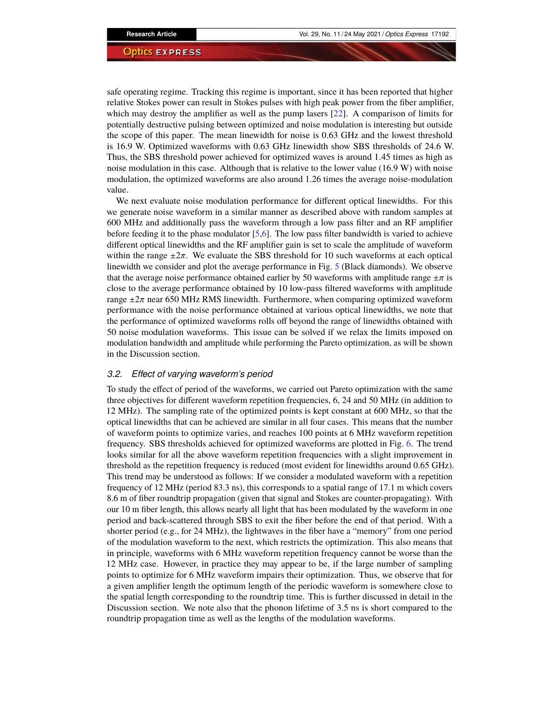safe operating regime. Tracking this regime is important, since it has been reported that higher relative Stokes power can result in Stokes pulses with high peak power from the fiber amplifier, which may destroy the amplifier as well as the pump lasers  $[22]$ . A comparison of limits for potentially destructive pulsing between optimized and noise modulation is interesting but outside the scope of this paper. The mean linewidth for noise is 0.63 GHz and the lowest threshold is 16.9 W. Optimized waveforms with 0.63 GHz linewidth show SBS thresholds of 24.6 W. Thus, the SBS threshold power achieved for optimized waves is around 1.45 times as high as noise modulation in this case. Although that is relative to the lower value (16.9 W) with noise modulation, the optimized waveforms are also around 1.26 times the average noise-modulation value.

We next evaluate noise modulation performance for different optical linewidths. For this we generate noise waveform in a similar manner as described above with random samples at 600 MHz and additionally pass the waveform through a low pass filter and an RF amplifier before feeding it to the phase modulator  $[5,6]$  $[5,6]$ . The low pass filter bandwidth is varied to achieve different optical linewidths and the RF amplifier gain is set to scale the amplitude of waveform within the range  $\pm 2\pi$ . We evaluate the SBS threshold for 10 such waveforms at each optical linewidth we consider and plot the average performance in Fig. [5](#page-8-0) (Black diamonds). We observe that the average noise performance obtained earlier by 50 waveforms with amplitude range  $\pm \pi$  is close to the average performance obtained by 10 low-pass filtered waveforms with amplitude range  $\pm 2\pi$  near 650 MHz RMS linewidth. Furthermore, when comparing optimized waveform performance with the noise performance obtained at various optical linewidths, we note that the performance of optimized waveforms rolls off beyond the range of linewidths obtained with 50 noise modulation waveforms. This issue can be solved if we relax the limits imposed on modulation bandwidth and amplitude while performing the Pareto optimization, as will be shown in the Discussion section.

# *3.2. Effect of varying waveform's period*

To study the effect of period of the waveforms, we carried out Pareto optimization with the same three objectives for different waveform repetition frequencies, 6, 24 and 50 MHz (in addition to 12 MHz). The sampling rate of the optimized points is kept constant at 600 MHz, so that the optical linewidths that can be achieved are similar in all four cases. This means that the number of waveform points to optimize varies, and reaches 100 points at 6 MHz waveform repetition frequency. SBS thresholds achieved for optimized waveforms are plotted in Fig. [6.](#page-10-0) The trend looks similar for all the above waveform repetition frequencies with a slight improvement in threshold as the repetition frequency is reduced (most evident for linewidths around 0.65 GHz). This trend may be understood as follows: If we consider a modulated waveform with a repetition frequency of 12 MHz (period 83.3 ns), this corresponds to a spatial range of 17.1 m which covers 8.6 m of fiber roundtrip propagation (given that signal and Stokes are counter-propagating). With our 10 m fiber length, this allows nearly all light that has been modulated by the waveform in one period and back-scattered through SBS to exit the fiber before the end of that period. With a shorter period (e.g., for 24 MHz), the lightwaves in the fiber have a "memory" from one period of the modulation waveform to the next, which restricts the optimization. This also means that in principle, waveforms with 6 MHz waveform repetition frequency cannot be worse than the 12 MHz case. However, in practice they may appear to be, if the large number of sampling points to optimize for 6 MHz waveform impairs their optimization. Thus, we observe that for a given amplifier length the optimum length of the periodic waveform is somewhere close to the spatial length corresponding to the roundtrip time. This is further discussed in detail in the Discussion section. We note also that the phonon lifetime of 3.5 ns is short compared to the roundtrip propagation time as well as the lengths of the modulation waveforms.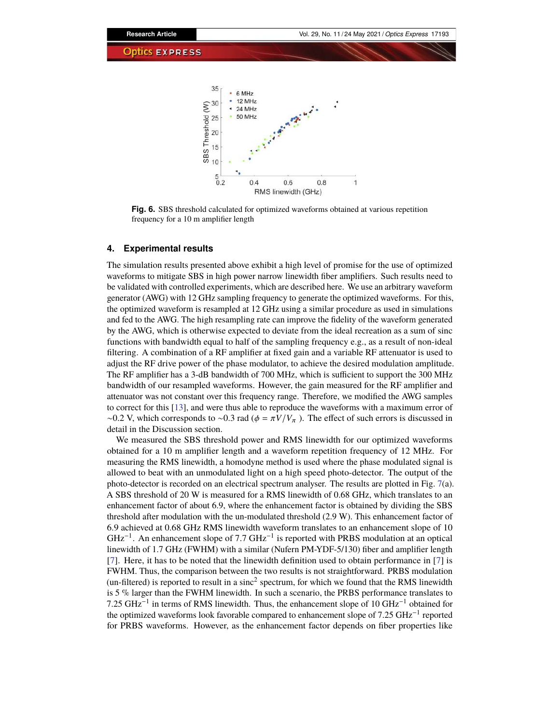

<span id="page-10-0"></span>**Fig. 6.** SBS threshold calculated for optimized waveforms obtained at various repetition frequency for a 10 m amplifier length

# **4. Experimental results**

The simulation results presented above exhibit a high level of promise for the use of optimized waveforms to mitigate SBS in high power narrow linewidth fiber amplifiers. Such results need to be validated with controlled experiments, which are described here. We use an arbitrary waveform generator (AWG) with 12 GHz sampling frequency to generate the optimized waveforms. For this, the optimized waveform is resampled at 12 GHz using a similar procedure as used in simulations and fed to the AWG. The high resampling rate can improve the fidelity of the waveform generated by the AWG, which is otherwise expected to deviate from the ideal recreation as a sum of sinc functions with bandwidth equal to half of the sampling frequency e.g., as a result of non-ideal filtering. A combination of a RF amplifier at fixed gain and a variable RF attenuator is used to adjust the RF drive power of the phase modulator, to achieve the desired modulation amplitude. The RF amplifier has a 3-dB bandwidth of 700 MHz, which is sufficient to support the 300 MHz bandwidth of our resampled waveforms. However, the gain measured for the RF amplifier and attenuator was not constant over this frequency range. Therefore, we modified the AWG samples to correct for this [\[13\]](#page-17-1), and were thus able to reproduce the waveforms with a maximum error of  $\sim$ 0.2 V, which corresponds to  $\sim$ 0.3 rad ( $\phi = \pi V/V_\pi$ ). The effect of such errors is discussed in detail in the Discussion section.

We measured the SBS threshold power and RMS linewidth for our optimized waveforms obtained for a 10 m amplifier length and a waveform repetition frequency of 12 MHz. For measuring the RMS linewidth, a homodyne method is used where the phase modulated signal is allowed to beat with an unmodulated light on a high speed photo-detector. The output of the photo-detector is recorded on an electrical spectrum analyser. The results are plotted in Fig. [7\(](#page-11-0)a). A SBS threshold of 20 W is measured for a RMS linewidth of 0.68 GHz, which translates to an enhancement factor of about 6.9, where the enhancement factor is obtained by dividing the SBS threshold after modulation with the un-modulated threshold (2.9 W). This enhancement factor of 6.9 achieved at 0.68 GHz RMS linewidth waveform translates to an enhancement slope of 10  $GHz^{-1}$ . An enhancement slope of 7.7  $GHz^{-1}$  is reported with PRBS modulation at an optical linewidth of 1.7 GHz (FWHM) with a similar (Nufern PM-YDF-5/130) fiber and amplifier length  $[7]$ . Here, it has to be noted that the linewidth definition used to obtain performance in  $[7]$  is FWHM. Thus, the comparison between the two results is not straightforward. PRBS modulation (un-filtered) is reported to result in a sinc<sup>2</sup> spectrum, for which we found that the RMS linewidth is 5 % larger than the FWHM linewidth. In such a scenario, the PRBS performance translates to 7.25 GHz<sup>-1</sup> in terms of RMS linewidth. Thus, the enhancement slope of 10 GHz<sup>-1</sup> obtained for the optimized waveforms look favorable compared to enhancement slope of 7.25 GHz<sup>-1</sup> reported for PRBS waveforms. However, as the enhancement factor depends on fiber properties like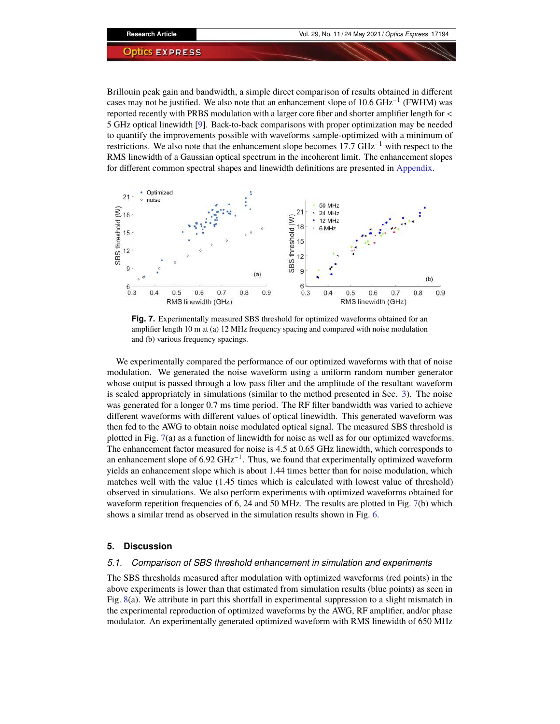Brillouin peak gain and bandwidth, a simple direct comparison of results obtained in different cases may not be justified. We also note that an enhancement slope of 10.6  $GHz^{-1}$  (FWHM) was reported recently with PRBS modulation with a larger core fiber and shorter amplifier length for  $\lt$ 5 GHz optical linewidth [\[9\]](#page-16-8). Back-to-back comparisons with proper optimization may be needed to quantify the improvements possible with waveforms sample-optimized with a minimum of restrictions. We also note that the enhancement slope becomes 17.7  $GHz^{-1}$  with respect to the RMS linewidth of a Gaussian optical spectrum in the incoherent limit. The enhancement slopes for different common spectral shapes and linewidth definitions are presented in [Appendix.](#page-15-0)



<span id="page-11-0"></span>**Fig. 7.** Experimentally measured SBS threshold for optimized waveforms obtained for an amplifier length 10 m at (a)  $12 \text{ MHz}$  frequency spacing and compared with noise modulation and (b) various frequency spacings.

We experimentally compared the performance of our optimized waveforms with that of noise modulation. We generated the noise waveform using a uniform random number generator whose output is passed through a low pass filter and the amplitude of the resultant waveform is scaled appropriately in simulations (similar to the method presented in Sec. [3\)](#page-6-0). The noise was generated for a longer 0.7 ms time period. The RF filter bandwidth was varied to achieve different waveforms with different values of optical linewidth. This generated waveform was then fed to the AWG to obtain noise modulated optical signal. The measured SBS threshold is plotted in Fig. [7\(](#page-11-0)a) as a function of linewidth for noise as well as for our optimized waveforms. The enhancement factor measured for noise is 4.5 at 0.65 GHz linewidth, which corresponds to an enhancement slope of  $6.92 \text{ GHz}^{-1}$ . Thus, we found that experimentally optimized waveform yields an enhancement slope which is about 1.44 times better than for noise modulation, which matches well with the value (1.45 times which is calculated with lowest value of threshold) observed in simulations. We also perform experiments with optimized waveforms obtained for waveform repetition frequencies of 6, 24 and 50 MHz. The results are plotted in Fig. [7\(](#page-11-0)b) which shows a similar trend as observed in the simulation results shown in Fig. [6.](#page-10-0)

# **5. Discussion**

# *5.1. Comparison of SBS threshold enhancement in simulation and experiments*

The SBS thresholds measured after modulation with optimized waveforms (red points) in the above experiments is lower than that estimated from simulation results (blue points) as seen in Fig. [8\(](#page-12-0)a). We attribute in part this shortfall in experimental suppression to a slight mismatch in the experimental reproduction of optimized waveforms by the AWG, RF amplifier, and/or phase modulator. An experimentally generated optimized waveform with RMS linewidth of 650 MHz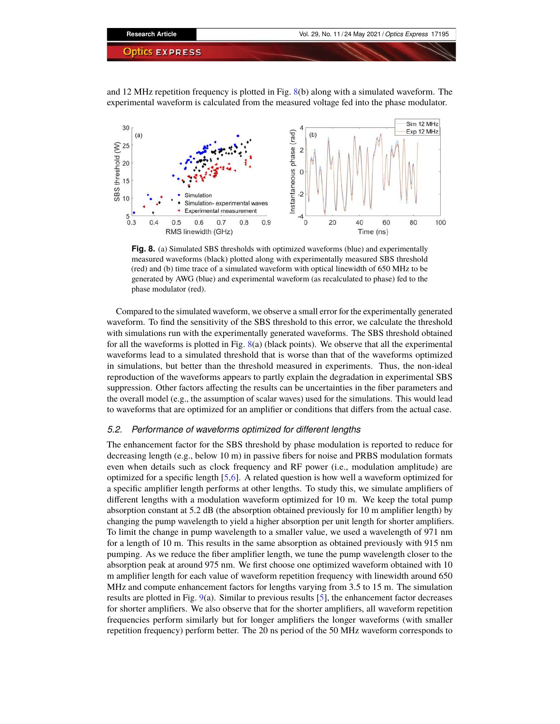and 12 MHz repetition frequency is plotted in Fig. [8\(](#page-12-0)b) along with a simulated waveform. The experimental waveform is calculated from the measured voltage fed into the phase modulator.



<span id="page-12-0"></span>**Fig. 8.** (a) Simulated SBS thresholds with optimized waveforms (blue) and experimentally measured waveforms (black) plotted along with experimentally measured SBS threshold (red) and (b) time trace of a simulated waveform with optical linewidth of 650 MHz to be generated by AWG (blue) and experimental waveform (as recalculated to phase) fed to the phase modulator (red).

Compared to the simulated waveform, we observe a small error for the experimentally generated waveform. To find the sensitivity of the SBS threshold to this error, we calculate the threshold with simulations run with the experimentally generated waveforms. The SBS threshold obtained for all the waveforms is plotted in Fig. [8\(](#page-12-0)a) (black points). We observe that all the experimental waveforms lead to a simulated threshold that is worse than that of the waveforms optimized in simulations, but better than the threshold measured in experiments. Thus, the non-ideal reproduction of the waveforms appears to partly explain the degradation in experimental SBS suppression. Other factors affecting the results can be uncertainties in the fiber parameters and the overall model (e.g., the assumption of scalar waves) used for the simulations. This would lead to waveforms that are optimized for an amplifier or conditions that differs from the actual case.

# *5.2. Performance of waveforms optimized for different lengths*

The enhancement factor for the SBS threshold by phase modulation is reported to reduce for decreasing length (e.g., below 10 m) in passive fibers for noise and PRBS modulation formats even when details such as clock frequency and RF power (i.e., modulation amplitude) are optimized for a specific length  $[5,6]$  $[5,6]$ . A related question is how well a waveform optimized for a specific amplifier length performs at other lengths. To study this, we simulate amplifiers of different lengths with a modulation waveform optimized for 10 m. We keep the total pump absorption constant at 5.2 dB (the absorption obtained previously for 10 m amplifier length) by changing the pump wavelength to yield a higher absorption per unit length for shorter amplifiers. To limit the change in pump wavelength to a smaller value, we used a wavelength of 971 nm for a length of 10 m. This results in the same absorption as obtained previously with 915 nm pumping. As we reduce the fiber amplifier length, we tune the pump wavelength closer to the absorption peak at around 975 nm. We first choose one optimized waveform obtained with 10 m amplifier length for each value of waveform repetition frequency with linewidth around 650 MHz and compute enhancement factors for lengths varying from 3.5 to 15 m. The simulation results are plotted in Fig. [9\(](#page-13-0)a). Similar to previous results [\[5\]](#page-16-4), the enhancement factor decreases for shorter amplifiers. We also observe that for the shorter amplifiers, all waveform repetition frequencies perform similarly but for longer amplifiers the longer waveforms (with smaller repetition frequency) perform better. The 20 ns period of the 50 MHz waveform corresponds to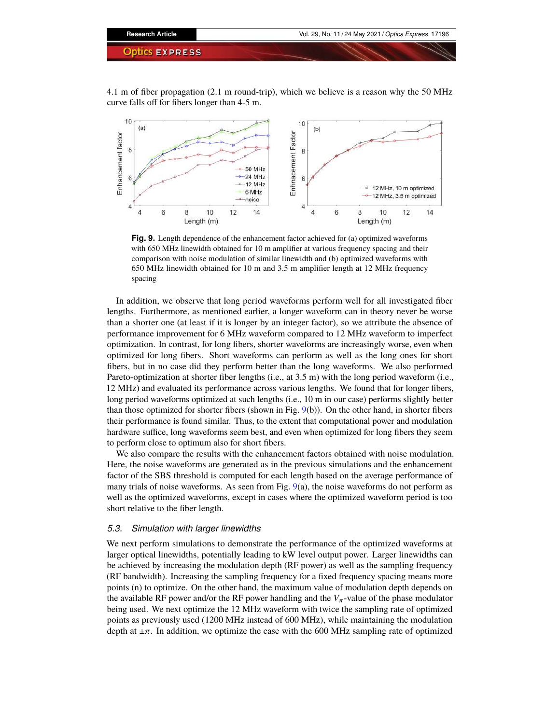4.1 m of fiber propagation (2.1 m round-trip), which we believe is a reason why the 50 MHz curve falls off for fibers longer than 4-5 m.



<span id="page-13-0"></span>**Fig. 9.** Length dependence of the enhancement factor achieved for (a) optimized waveforms with 650 MHz linewidth obtained for 10 m amplifier at various frequency spacing and their comparison with noise modulation of similar linewidth and (b) optimized waveforms with 650 MHz linewidth obtained for 10 m and 3.5 m amplifier length at 12 MHz frequency spacing

In addition, we observe that long period waveforms perform well for all investigated fiber lengths. Furthermore, as mentioned earlier, a longer waveform can in theory never be worse than a shorter one (at least if it is longer by an integer factor), so we attribute the absence of performance improvement for 6 MHz waveform compared to 12 MHz waveform to imperfect optimization. In contrast, for long fibers, shorter waveforms are increasingly worse, even when optimized for long fibers. Short waveforms can perform as well as the long ones for short fibers, but in no case did they perform better than the long waveforms. We also performed Pareto-optimization at shorter fiber lengths (i.e., at 3.5 m) with the long period waveform (i.e., 12 MHz) and evaluated its performance across various lengths. We found that for longer fibers, long period waveforms optimized at such lengths (i.e., 10 m in our case) performs slightly better than those optimized for shorter fibers (shown in Fig.  $9(b)$  $9(b)$ ). On the other hand, in shorter fibers their performance is found similar. Thus, to the extent that computational power and modulation hardware suffice, long waveforms seem best, and even when optimized for long fibers they seem to perform close to optimum also for short fibers.

We also compare the results with the enhancement factors obtained with noise modulation. Here, the noise waveforms are generated as in the previous simulations and the enhancement factor of the SBS threshold is computed for each length based on the average performance of many trials of noise waveforms. As seen from Fig. [9\(](#page-13-0)a), the noise waveforms do not perform as well as the optimized waveforms, except in cases where the optimized waveform period is too short relative to the fiber length.

# *5.3. Simulation with larger linewidths*

We next perform simulations to demonstrate the performance of the optimized waveforms at larger optical linewidths, potentially leading to kW level output power. Larger linewidths can be achieved by increasing the modulation depth (RF power) as well as the sampling frequency (RF bandwidth). Increasing the sampling frequency for a fixed frequency spacing means more points (n) to optimize. On the other hand, the maximum value of modulation depth depends on the available RF power and/or the RF power handling and the  $V_\pi$ -value of the phase modulator being used. We next optimize the 12 MHz waveform with twice the sampling rate of optimized points as previously used (1200 MHz instead of 600 MHz), while maintaining the modulation depth at  $\pm \pi$ . In addition, we optimize the case with the 600 MHz sampling rate of optimized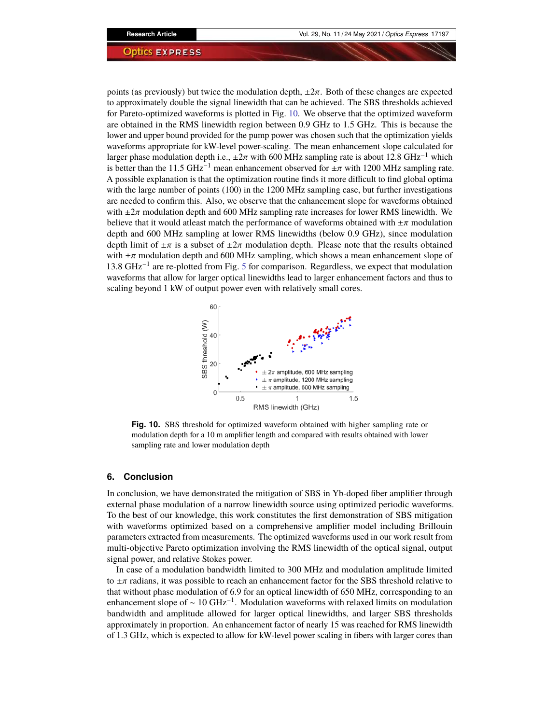points (as previously) but twice the modulation depth,  $\pm 2\pi$ . Both of these changes are expected to approximately double the signal linewidth that can be achieved. The SBS thresholds achieved for Pareto-optimized waveforms is plotted in Fig. [10.](#page-14-0) We observe that the optimized waveform are obtained in the RMS linewidth region between 0.9 GHz to 1.5 GHz. This is because the lower and upper bound provided for the pump power was chosen such that the optimization yields waveforms appropriate for kW-level power-scaling. The mean enhancement slope calculated for larger phase modulation depth i.e.,  $\pm 2\pi$  with 600 MHz sampling rate is about 12.8 GHz<sup>-1</sup> which is better than the 11.5 GHz<sup>-1</sup> mean enhancement observed for  $\pm \pi$  with 1200 MHz sampling rate. A possible explanation is that the optimization routine finds it more difficult to find global optima with the large number of points (100) in the 1200 MHz sampling case, but further investigations are needed to confirm this. Also, we observe that the enhancement slope for waveforms obtained with  $\pm 2\pi$  modulation depth and 600 MHz sampling rate increases for lower RMS linewidth. We believe that it would at least match the performance of waveforms obtained with  $\pm \pi$  modulation depth and 600 MHz sampling at lower RMS linewidths (below 0.9 GHz), since modulation depth limit of  $\pm \pi$  is a subset of  $\pm 2\pi$  modulation depth. Please note that the results obtained with  $\pm\pi$  modulation depth and 600 MHz sampling, which shows a mean enhancement slope of 13.8 GHz−<sup>1</sup> are re-plotted from Fig. [5](#page-8-0) for comparison. Regardless, we expect that modulation waveforms that allow for larger optical linewidths lead to larger enhancement factors and thus to scaling beyond 1 kW of output power even with relatively small cores.



<span id="page-14-0"></span>**Fig. 10.** SBS threshold for optimized waveform obtained with higher sampling rate or modulation depth for a 10 m amplifier length and compared with results obtained with lower sampling rate and lower modulation depth

#### **6. Conclusion**

In conclusion, we have demonstrated the mitigation of SBS in Yb-doped fiber amplifier through external phase modulation of a narrow linewidth source using optimized periodic waveforms. To the best of our knowledge, this work constitutes the first demonstration of SBS mitigation with waveforms optimized based on a comprehensive amplifier model including Brillouin parameters extracted from measurements. The optimized waveforms used in our work result from multi-objective Pareto optimization involving the RMS linewidth of the optical signal, output signal power, and relative Stokes power.

In case of a modulation bandwidth limited to 300 MHz and modulation amplitude limited to  $\pm\pi$  radians, it was possible to reach an enhancement factor for the SBS threshold relative to that without phase modulation of 6.9 for an optical linewidth of 650 MHz, corresponding to an enhancement slope of  $\sim 10 \text{ GHz}^{-1}$ . Modulation waveforms with relaxed limits on modulation bandwidth and amplitude allowed for larger optical linewidths, and larger SBS thresholds approximately in proportion. An enhancement factor of nearly 15 was reached for RMS linewidth of 1.3 GHz, which is expected to allow for kW-level power scaling in fibers with larger cores than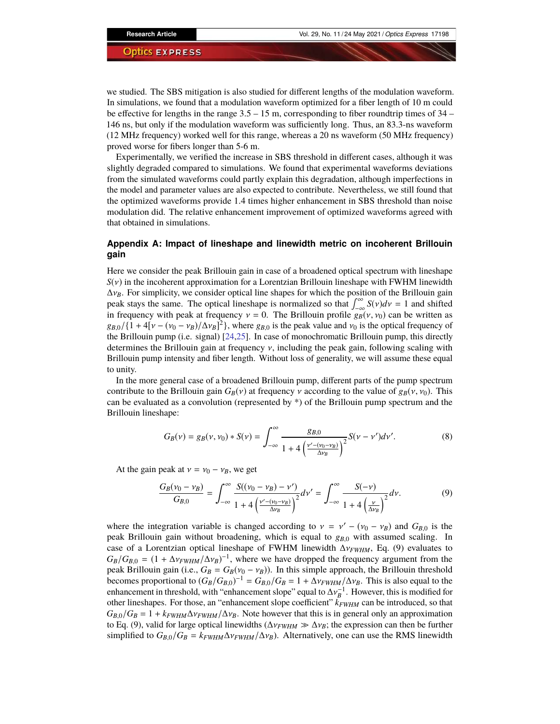we studied. The SBS mitigation is also studied for different lengths of the modulation waveform. In simulations, we found that a modulation waveform optimized for a fiber length of  $10 \text{ m}$  could be effective for lengths in the range  $3.5 - 15$  m, corresponding to fiber roundtrip times of  $34$  – 146 ns, but only if the modulation waveform was sufficiently long. Thus, an 83.3-ns waveform (12 MHz frequency) worked well for this range, whereas a 20 ns waveform (50 MHz frequency) proved worse for fibers longer than 5-6 m.

Experimentally, we verified the increase in SBS threshold in different cases, although it was slightly degraded compared to simulations. We found that experimental waveforms deviations from the simulated waveforms could partly explain this degradation, although imperfections in the model and parameter values are also expected to contribute. Nevertheless, we still found that the optimized waveforms provide 1.4 times higher enhancement in SBS threshold than noise modulation did. The relative enhancement improvement of optimized waveforms agreed with that obtained in simulations.

# <span id="page-15-0"></span>**Appendix A: Impact of lineshape and linewidth metric on incoherent Brillouin gain**

Here we consider the peak Brillouin gain in case of a broadened optical spectrum with lineshape  $S(v)$  in the incoherent approximation for a Lorentzian Brillouin lineshape with FWHM linewidth  $\Delta v_B$ . For simplicity, we consider optical line shapes for which the position of the Brillouin gain peak stays the same. The optical lineshape is normalized so that  $\int_{-\infty}^{\infty} S(v)dv = 1$  and shifted in frequency with peak at frequency  $v = 0$ . The Brillouin profile  $g_B(v, v_0)$  can be written as  $g_{B,0}/\{1+4[\nu-(\nu_0-\nu_B)/\Delta\nu_B]^2\}$ , where  $g_{B,0}$  is the peak value and  $\nu_0$  is the optical frequency of the Brillouin pump (i.e. signal) [\[24,](#page-17-10)[25\]](#page-17-11). In case of monochromatic Brillouin pump, this directly determines the Brillouin gain at frequency  $v$ , including the peak gain, following scaling with Brillouin pump intensity and fiber length. Without loss of generality, we will assume these equal to unity.

In the more general case of a broadened Brillouin pump, different parts of the pump spectrum contribute to the Brillouin gain  $G_B(v)$  at frequency v according to the value of  $g_B(v, v_0)$ . This can be evaluated as a convolution (represented by \*) of the Brillouin pump spectrum and the Brillouin lineshape:

$$
G_B(\nu) = g_B(\nu, \nu_0) * S(\nu) = \int_{-\infty}^{\infty} \frac{g_{B,0}}{1 + 4\left(\frac{\nu' - (\nu_0 - \nu_B)}{\Delta \nu_B}\right)^2} S(\nu - \nu') d\nu'.
$$
 (8)

At the gain peak at  $v = v_0 - v_B$ , we get

$$
\frac{G_B(v_0 - v_B)}{G_{B,0}} = \int_{-\infty}^{\infty} \frac{S((v_0 - v_B) - v')}{1 + 4\left(\frac{v' - (v_0 - v_B)}{\Delta v_B}\right)^2} dv' = \int_{-\infty}^{\infty} \frac{S(-v)}{1 + 4\left(\frac{v}{\Delta v_B}\right)^2} dv.
$$
(9)

where the integration variable is changed according to  $v = v' - (v_0 - v_B)$  and  $G_{B,0}$  is the peak Brillouin gain without broadening, which is equal to *gB*,0 with assumed scaling. In case of a Lorentzian optical lineshape of FWHM linewidth ∆ν*FWHM*, Eq. (9) evaluates to  $G_B/G_{B,0} = (1 + \Delta v_{FWHM}/\Delta v_B)^{-1}$ , where we have dropped the frequency argument from the peak Brillouin gain (i.e.,  $G_B = G_B(v_0 - v_B)$ ). In this simple approach, the Brillouin threshold becomes proportional to  $(G_B/G_{B,0})^{-1} = G_{B,0}/G_B = 1 + \Delta v_{FWHM}/\Delta v_B$ . This is also equal to the enhancement in threshold, with "enhancement slope" equal to  $\Delta v_B^{-1}$ . However, this is modified for other lineshapes. For those, an "enhancement slope coefficient"  $k_{FWHM}$  can be introduced, so that  $G_{B,0}/G_B = 1 + k_{FWHM} \Delta v_{FWHM} / \Delta v_B$ . Note however that this is in general only an approximation to Eq. (9), valid for large optical linewidths ( $\Delta v_{FWHM} \gg \Delta v_B$ ; the expression can then be further simplified to  $G_{B,0}/G_B = k_{FWHM} \Delta v_{FWHM}/\Delta v_B$ ). Alternatively, one can use the RMS linewidth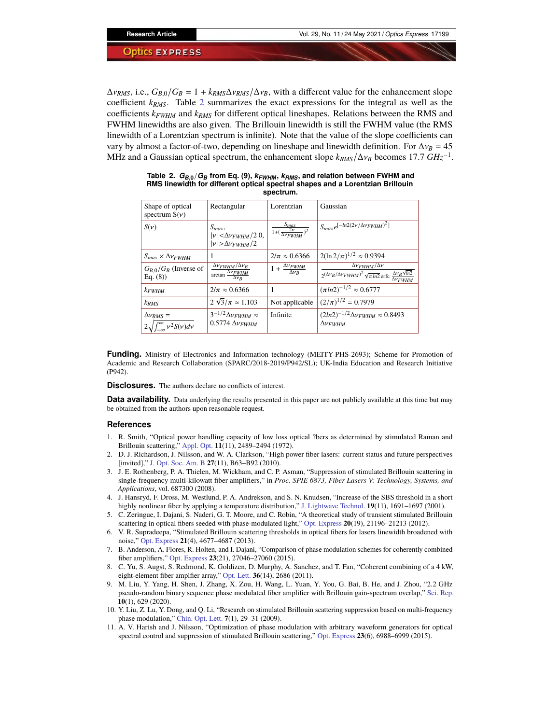$\Delta v_{RMS}$ , i.e.,  $G_{B,0}/G_B = 1 + k_{RMS}\Delta v_{RMS}/\Delta v_B$ , with a different value for the enhancement slope coefficient *kRMS*. Table [2](#page-16-11) summarizes the exact expressions for the integral as well as the coefficients *kFWHM* and *kRMS* for different optical lineshapes. Relations between the RMS and FWHM linewidths are also given. The Brillouin linewidth is still the FWHM value (the RMS linewidth of a Lorentzian spectrum is infinite). Note that the value of the slope coefficients can vary by almost a factor-of-two, depending on lineshape and linewidth definition. For  $\Delta v_B = 45$ MHz and a Gaussian optical spectrum, the enhancement slope  $k_{RMS}/\Delta v_B$  becomes 17.7  $GHz^{-1}$ .

| Shape of optical<br>spectrum $S(v)$                                 | Rectangular                                                                           | Lorentzian                                               | Gaussian                                                                                                                                                |
|---------------------------------------------------------------------|---------------------------------------------------------------------------------------|----------------------------------------------------------|---------------------------------------------------------------------------------------------------------------------------------------------------------|
| $S(\nu)$                                                            | $S_{max}$ ,<br>$ \nu \!<\!\!\Delta\nu_{FWHM}/2$ 0,<br>$ \nu $ > $\Delta \nu$ $FWHM/2$ | $\frac{S_{max}}{1 + (\frac{2\nu}{\Delta \nu_{FWHM}})^2}$ | $S_{max}e^{[-ln2(2\nu/\Delta\nu_{FWHM})^2]}$                                                                                                            |
| $S_{max} \times \Delta v_{FWHM}$                                    | 1                                                                                     | $2/\pi \approx 0.6366$                                   | $2(\ln 2/\pi)^{1/2} \approx 0.9394$                                                                                                                     |
| $G_{R,0}/G_R$ (Inverse of<br>Eq. $(8)$ )                            | $\frac{\Delta v_{FWHM}/\Delta v_B}{\arctan \frac{\Delta v_{FWHM}}{\Delta v_R}}$       | $1 + \frac{\Delta v_{FWHM}}{\Delta v_B}$                 | $\Delta v$ <sub>FWHM</sub> / $\Delta v$<br>$2^{(\Delta v_B/\Delta v_{FWHM})^2} \sqrt{\pi \ln 2}$ erfc $\frac{\Delta v_B \sqrt{\ln 2}}{\Delta v_{FWHM}}$ |
| $k$ <i>FWHM</i>                                                     | $2/\pi \approx 0.6366$                                                                | 1                                                        | $(\pi ln2)^{-1/2} \approx 0.6777$                                                                                                                       |
| $k_{RMS}$                                                           | $2 \sqrt{3}/\pi \approx 1.103$                                                        | Not applicable                                           | $(2/\pi)^{1/2} = 0.7979$                                                                                                                                |
| $\Delta v_{RMS} =$<br>$2\sqrt{\int_{-\infty}^{\infty} v^2 S(v) dv}$ | $3^{-1/2}\Delta v_{FWHM} \approx$<br>$0.5774 \Delta v$ FWHM                           | Infinite                                                 | $(2ln2)^{-1/2} \Delta v_{FWHM} \approx 0.8493$<br>$\Delta v$ <sub>FWHM</sub>                                                                            |

<span id="page-16-11"></span>Table 2.  $G_{B,0}/G_B$  from Eq. (9),  $k_{FWHM}$ ,  $k_{RMS}$ , and relation between FWHM and **RMS linewidth for different optical spectral shapes and a Lorentzian Brillouin spectrum.**

**Funding.** Ministry of Electronics and Information technology (MEITY-PHS-2693); Scheme for Promotion of Academic and Research Collaboration (SPARC/2018-2019/P942/SL); UK-India Education and Research Initiative (P942).

**Disclosures.** The authors declare no conflicts of interest.

**Data availability.** Data underlying the results presented in this paper are not publicly available at this time but may be obtained from the authors upon reasonable request.

#### **References**

- <span id="page-16-0"></span>1. R. Smith, "Optical power handling capacity of low loss optical ?bers as determined by stimulated Raman and Brillouin scattering," [Appl. Opt.](https://doi.org/10.1364/AO.11.002489) 11(11), 2489-2494 (1972).
- <span id="page-16-1"></span>2. D. J. Richardson, J. Nilsson, and W. A. Clarkson, "High power fiber lasers: current status and future perspectives [invited]," [J. Opt. Soc. Am. B](https://doi.org/10.1364/JOSAB.27.000B63) 27(11), B63-B92 (2010).
- <span id="page-16-2"></span>3. J. E. Rothenberg, P. A. Thielen, M. Wickham, and C. P. Asman, "Suppression of stimulated Brillouin scattering in single-frequency multi-kilowatt fiber amplifiers," in *Proc. SPIE 6873, Fiber Lasers V: Technology, Systems, and Applications*, vol. 687300 (2008).
- <span id="page-16-3"></span>4. J. Hansryd, F. Dross, M. Westlund, P. A. Andrekson, and S. N. Knudsen, "Increase of the SBS threshold in a short highly nonlinear fiber by applying a temperature distribution," [J. Lightwave Technol.](https://doi.org/10.1109/50.964069) **19**(11), 1691-1697 (2001).
- <span id="page-16-4"></span>5. C. Zeringue, I. Dajani, S. Naderi, G. T. Moore, and C. Robin, "A theoretical study of transient stimulated Brillouin scattering in optical fibers seeded with phase-modulated light,<sup>™</sup> [Opt. Express](https://doi.org/10.1364/OE.20.021196) **20**(19), 21196–21213 (2012).
- <span id="page-16-7"></span>6. V. R. Supradeepa, "Stimulated Brillouin scattering thresholds in optical fibers for lasers linewidth broadened with noise," [Opt. Express](https://doi.org/10.1364/OE.21.004677) 21(4), 4677–4687 (2013).
- <span id="page-16-5"></span>7. B. Anderson, A. Flores, R. Holten, and I. Dajani, "Comparison of phase modulation schemes for coherently combined fiber amplifiers," [Opt. Express](https://doi.org/10.1364/OE.23.027046) 23(21), 27046-27060 (2015).
- <span id="page-16-6"></span>8. C. Yu, S. Augst, S. Redmond, K. Goldizen, D. Murphy, A. Sanchez, and T. Fan, "Coherent combining of a 4 kW, eight-element fiber amplfier array," [Opt. Lett.](https://doi.org/10.1364/OL.36.002686)  $36(14)$ , 2686 (2011).
- <span id="page-16-8"></span>9. M. Liu, Y. Yang, H. Shen, J. Zhang, X. Zou, H. Wang, L. Yuan, Y. You, G. Bai, B. He, and J. Zhou, "2.2 GHz pseudo-random binary sequence phase modulated fiber amplifier with Brillouin gain-spectrum overlap," [Sci. Rep.](https://doi.org/10.1038/s41598-019-57408-5) **10**(1), 629 (2020).
- <span id="page-16-9"></span>10. Y. Liu, Z. Lu, Y. Dong, and Q. Li, "Research on stimulated Brillouin scattering suppression based on multi-frequency phase modulation," [Chin. Opt. Lett.](https://doi.org/10.3788/COL20090701.0029) **7**(1), 29-31 (2009).
- <span id="page-16-10"></span>11. A. V. Harish and J. Nilsson, "Optimization of phase modulation with arbitrary waveform generators for optical spectral control and suppression of stimulated Brillouin scattering," [Opt. Express](https://doi.org/10.1364/OE.23.006988) 23(6), 6988–6999 (2015).